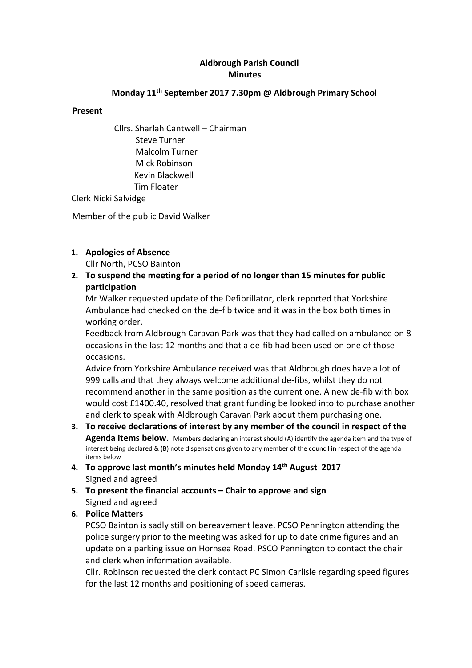# Aldbrough Parish Council **Minutes**

# Monday 11th September 2017 7.30pm @ Aldbrough Primary School

### Present

Cllrs. Sharlah Cantwell – Chairman Steve Turner Malcolm Turner Mick Robinson Kevin Blackwell Tim Floater

Clerk Nicki Salvidge

Member of the public David Walker

# 1. Apologies of Absence

Cllr North, PCSO Bainton

2. To suspend the meeting for a period of no longer than 15 minutes for public participation

Mr Walker requested update of the Defibrillator, clerk reported that Yorkshire Ambulance had checked on the de-fib twice and it was in the box both times in working order.

Feedback from Aldbrough Caravan Park was that they had called on ambulance on 8 occasions in the last 12 months and that a de-fib had been used on one of those occasions.

Advice from Yorkshire Ambulance received was that Aldbrough does have a lot of 999 calls and that they always welcome additional de-fibs, whilst they do not recommend another in the same position as the current one. A new de-fib with box would cost £1400.40, resolved that grant funding be looked into to purchase another and clerk to speak with Aldbrough Caravan Park about them purchasing one.

- 3. To receive declarations of interest by any member of the council in respect of the Agenda items below. Members declaring an interest should (A) identify the agenda item and the type of interest being declared & (B) note dispensations given to any member of the council in respect of the agenda items below
- 4. To approve last month's minutes held Monday 14th August 2017 Signed and agreed
- 5. To present the financial accounts Chair to approve and sign Signed and agreed

# 6. Police Matters

PCSO Bainton is sadly still on bereavement leave. PCSO Pennington attending the police surgery prior to the meeting was asked for up to date crime figures and an update on a parking issue on Hornsea Road. PSCO Pennington to contact the chair and clerk when information available.

Cllr. Robinson requested the clerk contact PC Simon Carlisle regarding speed figures for the last 12 months and positioning of speed cameras.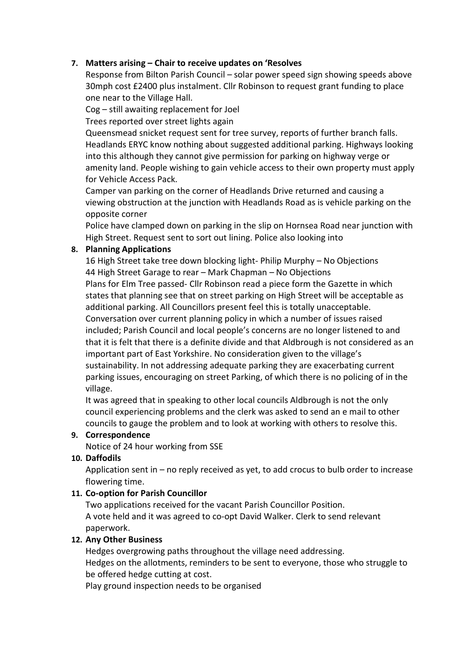# 7. Matters arising – Chair to receive updates on 'Resolves

Response from Bilton Parish Council – solar power speed sign showing speeds above 30mph cost £2400 plus instalment. Cllr Robinson to request grant funding to place one near to the Village Hall.

Cog – still awaiting replacement for Joel

Trees reported over street lights again

Queensmead snicket request sent for tree survey, reports of further branch falls. Headlands ERYC know nothing about suggested additional parking. Highways looking into this although they cannot give permission for parking on highway verge or amenity land. People wishing to gain vehicle access to their own property must apply for Vehicle Access Pack.

Camper van parking on the corner of Headlands Drive returned and causing a viewing obstruction at the junction with Headlands Road as is vehicle parking on the opposite corner

Police have clamped down on parking in the slip on Hornsea Road near junction with High Street. Request sent to sort out lining. Police also looking into

## 8. Planning Applications

16 High Street take tree down blocking light- Philip Murphy – No Objections 44 High Street Garage to rear – Mark Chapman – No Objections Plans for Elm Tree passed- Cllr Robinson read a piece form the Gazette in which states that planning see that on street parking on High Street will be acceptable as additional parking. All Councillors present feel this is totally unacceptable. Conversation over current planning policy in which a number of issues raised included; Parish Council and local people's concerns are no longer listened to and that it is felt that there is a definite divide and that Aldbrough is not considered as an important part of East Yorkshire. No consideration given to the village's sustainability. In not addressing adequate parking they are exacerbating current parking issues, encouraging on street Parking, of which there is no policing of in the village.

It was agreed that in speaking to other local councils Aldbrough is not the only council experiencing problems and the clerk was asked to send an e mail to other councils to gauge the problem and to look at working with others to resolve this.

### 9. Correspondence

Notice of 24 hour working from SSE

# 10. Daffodils

Application sent in – no reply received as yet, to add crocus to bulb order to increase flowering time.

# 11. Co-option for Parish Councillor

Two applications received for the vacant Parish Councillor Position. A vote held and it was agreed to co-opt David Walker. Clerk to send relevant paperwork.

### 12. Any Other Business

Hedges overgrowing paths throughout the village need addressing. Hedges on the allotments, reminders to be sent to everyone, those who struggle to be offered hedge cutting at cost.

Play ground inspection needs to be organised